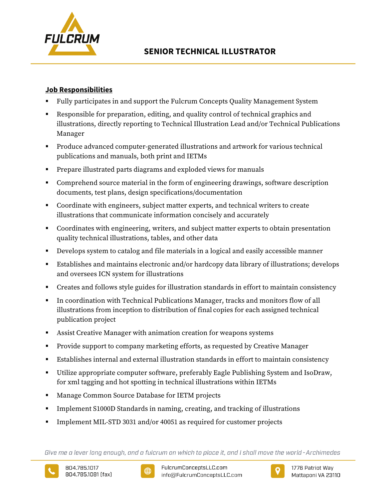

# **Job Responsibilities**

- Fully participates in and support the Fulcrum Concepts Quality Management System
- Responsible for preparation, editing, and quality control of technical graphics and illustrations, directly reporting to Technical Illustration Lead and/or Technical Publications Manager
- Produce advanced computer-generated illustrations and artwork for various technical publications and manuals, both print and IETMs
- Prepare illustrated parts diagrams and exploded views for manuals
- Comprehend source material in the form of engineering drawings, software description documents, test plans, design specifications/documentation
- Coordinate with engineers, subject matter experts, and technical writers to create illustrations that communicate information concisely and accurately
- Coordinates with engineering, writers, and subject matter experts to obtain presentation quality technical illustrations, tables, and other data
- Develops system to catalog and file materials in a logical and easily accessible manner
- Establishes and maintains electronic and/or hardcopy data library of illustrations; develops and oversees ICN system for illustrations
- Creates and follows style guides for illustration standards in effort to maintain consistency
- In coordination with Technical Publications Manager, tracks and monitors flow of all illustrations from inception to distribution of final copies for each assigned technical publication project
- Assist Creative Manager with animation creation for weapons systems
- Provide support to company marketing efforts, as requested by Creative Manager
- Establishes internal and external illustration standards in effort to maintain consistency
- Utilize appropriate computer software, preferably Eagle Publishing System and IsoDraw, for xml tagging and hot spotting in technical illustrations within IETMs
- Manage Common Source Database for IETM projects
- Implement S1000D Standards in naming, creating, and tracking of illustrations
- Implement MIL-STD 3031 and/or 40051 as required for customer projects

Give me a lever long enough, and a fulcrum on which to place it, and I shall move the world - Archimedes





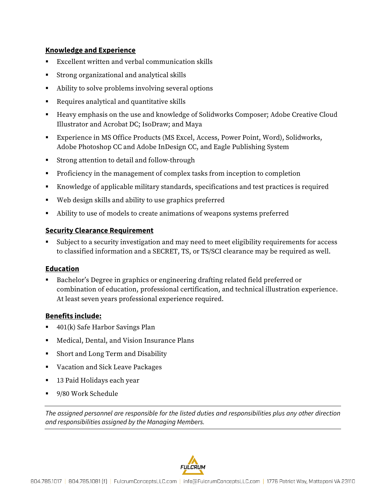## **Knowledge and Experience**

- Excellent written and verbal communication skills
- Strong organizational and analytical skills
- Ability to solve problems involving several options
- Requires analytical and quantitative skills
- Heavy emphasis on the use and knowledge of Solidworks Composer; Adobe Creative Cloud Illustrator and Acrobat DC; IsoDraw; and Maya
- Experience in MS Office Products (MS Excel, Access, Power Point, Word), Solidworks, Adobe Photoshop CC and Adobe InDesign CC, and Eagle Publishing System
- Strong attention to detail and follow-through
- **Proficiency in the management of complex tasks from inception to completion**
- Knowledge of applicable military standards, specifications and test practices is required
- Web design skills and ability to use graphics preferred
- Ability to use of models to create animations of weapons systems preferred

## **Security Clearance Requirement**

 Subject to a security investigation and may need to meet eligibility requirements for access to classified information and a SECRET, TS, or TS/SCI clearance may be required as well.

## **Education**

 Bachelor's Degree in graphics or engineering drafting related field preferred or combination of education, professional certification, and technical illustration experience. At least seven years professional experience required.

## **Benefits include:**

- 401(k) Safe Harbor Savings Plan
- Medical, Dental, and Vision Insurance Plans
- Short and Long Term and Disability
- Vacation and Sick Leave Packages
- 13 Paid Holidays each year
- 9/80 Work Schedule

*The assigned personnel are responsible for the listed duties and responsibilities plus any other direction and responsibilities assigned by the Managing Members.*